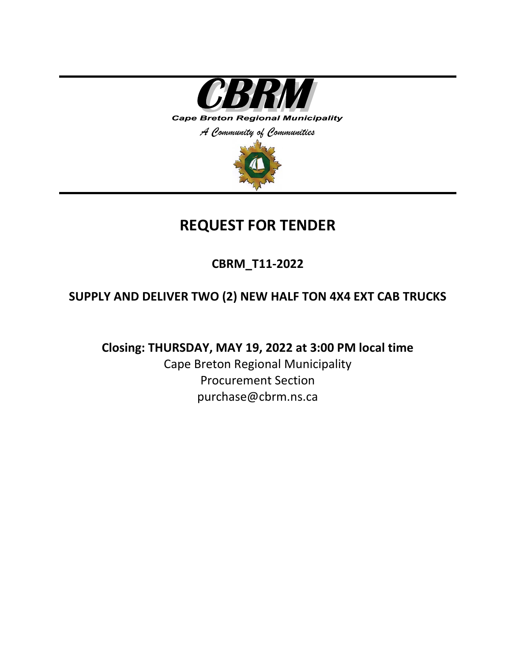

# **REQUEST FOR TENDER**

**CBRM\_T11-2022**

## **SUPPLY AND DELIVER TWO (2) NEW HALF TON 4X4 EXT CAB TRUCKS**

**Closing: THURSDAY, MAY 19, 2022 at 3:00 PM local time**

Cape Breton Regional Municipality Procurement Section purchase@cbrm.ns.ca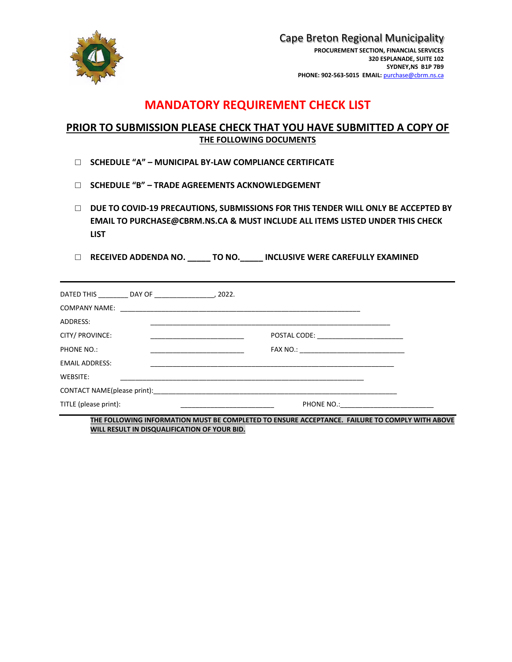

Cape Breton Regional Municipality **PROCUREMENT SECTION, FINANCIAL SERVICES 320 ESPLANADE, SUITE 102 SYDNEY,NS B1P 7B9 PHONE: 902-563-5015 EMAIL:** [purchase@cbrm.ns.ca](mailto:purchase@cbrm.ns.ca)

## **MANDATORY REQUIREMENT CHECK LIST**

### **PRIOR TO SUBMISSION PLEASE CHECK THAT YOU HAVE SUBMITTED A COPY OF THE FOLLOWING DOCUMENTS**

- □ **SCHEDULE "A" – MUNICIPAL BY-LAW COMPLIANCE CERTIFICATE**
- □ **SCHEDULE "B" – TRADE AGREEMENTS ACKNOWLEDGEMENT**
- □ **DUE TO COVID-19 PRECAUTIONS, SUBMISSIONS FOR THIS TENDER WILL ONLY BE ACCEPTED BY EMAIL TO PURCHASE@CBRM.NS.CA & MUST INCLUDE ALL ITEMS LISTED UNDER THIS CHECK LIST**
- □ **RECEIVED ADDENDA NO. \_\_\_\_\_ TO NO.\_\_\_\_\_ INCLUSIVE WERE CAREFULLY EXAMINED**

| DATED THIS DAY OF , 2022. |  |                                  |  |
|---------------------------|--|----------------------------------|--|
| <b>COMPANY NAME:</b>      |  |                                  |  |
| ADDRESS:                  |  |                                  |  |
| CITY/ PROVINCE:           |  |                                  |  |
| PHONE NO.:                |  |                                  |  |
| <b>EMAIL ADDRESS:</b>     |  |                                  |  |
| WEBSITE:                  |  |                                  |  |
|                           |  |                                  |  |
| TITLE (please print):     |  | PHONE NO.: _____________________ |  |

**THE FOLLOWING INFORMATION MUST BE COMPLETED TO ENSURE ACCEPTANCE. FAILURE TO COMPLY WITH ABOVE WILL RESULT IN DISQUALIFICATION OF YOUR BID.**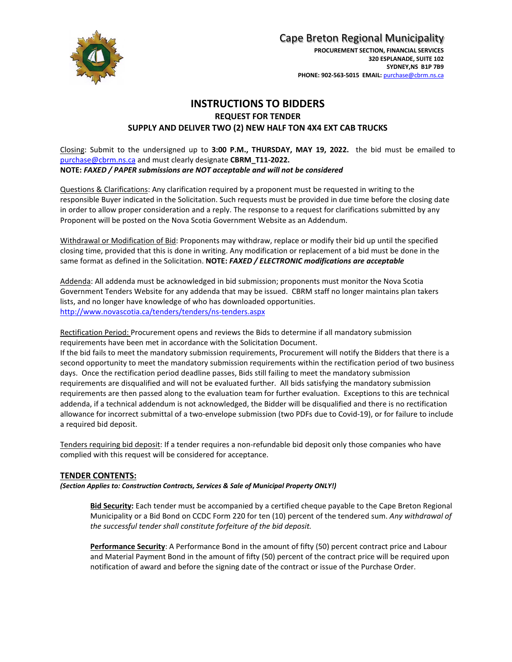

## Cape Breton Regional Municipality

#### **INSTRUCTIONS TO BIDDERS REQUEST FOR TENDER SUPPLY AND DELIVER TWO (2) NEW HALF TON 4X4 EXT CAB TRUCKS**

Closing: Submit to the undersigned up to **3:00 P.M., THURSDAY, MAY 19, 2022.** the bid must be emailed to [purchase@cbrm.ns.ca](mailto:purchase@cbrm.ns.ca) and must clearly designate **CBRM\_T11-2022. NOTE:** *FAXED / PAPER submissions are NOT acceptable and will not be considered*

Questions & Clarifications: Any clarification required by a proponent must be requested in writing to the responsible Buyer indicated in the Solicitation. Such requests must be provided in due time before the closing date in order to allow proper consideration and a reply. The response to a request for clarifications submitted by any Proponent will be posted on the Nova Scotia Government Website as an Addendum.

Withdrawal or Modification of Bid: Proponents may withdraw, replace or modify their bid up until the specified closing time, provided that this is done in writing. Any modification or replacement of a bid must be done in the same format as defined in the Solicitation. **NOTE:** *FAXED / ELECTRONIC modifications are acceptable*

Addenda: All addenda must be acknowledged in bid submission; proponents must monitor the Nova Scotia Government Tenders Website for any addenda that may be issued. CBRM staff no longer maintains plan takers lists, and no longer have knowledge of who has downloaded opportunities. <http://www.novascotia.ca/tenders/tenders/ns-tenders.aspx>

Rectification Period: Procurement opens and reviews the Bids to determine if all mandatory submission requirements have been met in accordance with the Solicitation Document.

If the bid fails to meet the mandatory submission requirements, Procurement will notify the Bidders that there is a second opportunity to meet the mandatory submission requirements within the rectification period of two business days. Once the rectification period deadline passes, Bids still failing to meet the mandatory submission requirements are disqualified and will not be evaluated further. All bids satisfying the mandatory submission requirements are then passed along to the evaluation team for further evaluation. Exceptions to this are technical addenda, if a technical addendum is not acknowledged, the Bidder will be disqualified and there is no rectification allowance for incorrect submittal of a two-envelope submission (two PDFs due to Covid-19), or for failure to include a required bid deposit.

Tenders requiring bid deposit: If a tender requires a non-refundable bid deposit only those companies who have complied with this request will be considered for acceptance.

#### **TENDER CONTENTS:**

*(Section Applies to: Construction Contracts, Services & Sale of Municipal Property ONLY!)*

**Bid Security:** Each tender must be accompanied by a certified cheque payable to the Cape Breton Regional Municipality or a Bid Bond on CCDC Form 220 for ten (10) percent of the tendered sum. *Any withdrawal of the successful tender shall constitute forfeiture of the bid deposit.*

**Performance Security**: A Performance Bond in the amount of fifty (50) percent contract price and Labour and Material Payment Bond in the amount of fifty (50) percent of the contract price will be required upon notification of award and before the signing date of the contract or issue of the Purchase Order.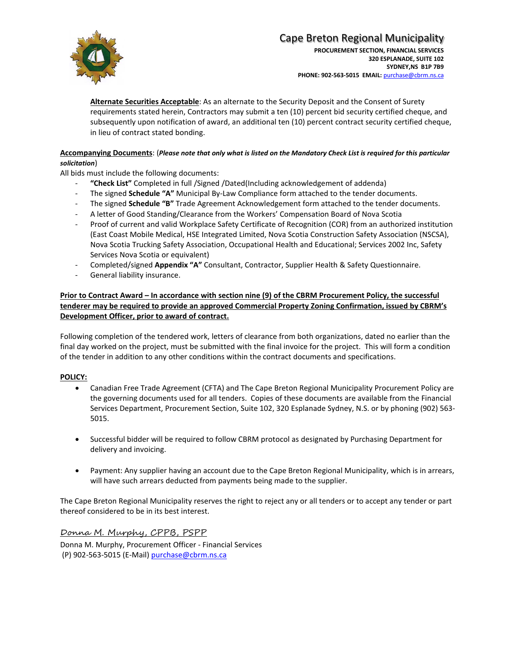

## Cape Breton Regional Municipality

**Alternate Securities Acceptable**: As an alternate to the Security Deposit and the Consent of Surety requirements stated herein, Contractors may submit a ten (10) percent bid security certified cheque, and subsequently upon notification of award, an additional ten (10) percent contract security certified cheque, in lieu of contract stated bonding.

#### **Accompanying Documents**: (*Please note that only what is listed on the Mandatory Check List is required for this particular solicitation*)

All bids must include the following documents:

- "Check List" Completed in full /Signed /Dated(Including acknowledgement of addenda)
- The signed **Schedule "A"** Municipal By-Law Compliance form attached to the tender documents.
- The signed **Schedule "B"** Trade Agreement Acknowledgement form attached to the tender documents.
- A letter of Good Standing/Clearance from the Workers' Compensation Board of Nova Scotia
- Proof of current and valid Workplace Safety Certificate of Recognition (COR) from an authorized institution (East Coast Mobile Medical, HSE Integrated Limited, Nova Scotia Construction Safety Association (NSCSA), Nova Scotia Trucking Safety Association, Occupational Health and Educational; Services 2002 Inc, Safety Services Nova Scotia or equivalent)
- Completed/signed **Appendix "A"** Consultant, Contractor, Supplier Health & Safety Questionnaire.
- General liability insurance.

**Prior to Contract Award – In accordance with section nine (9) of the CBRM Procurement Policy, the successful tenderer may be required to provide an approved Commercial Property Zoning Confirmation, issued by CBRM's Development Officer, prior to award of contract.**

Following completion of the tendered work, letters of clearance from both organizations, dated no earlier than the final day worked on the project, must be submitted with the final invoice for the project. This will form a condition of the tender in addition to any other conditions within the contract documents and specifications.

#### **POLICY:**

- Canadian Free Trade Agreement (CFTA) and The Cape Breton Regional Municipality Procurement Policy are the governing documents used for all tenders. Copies of these documents are available from the Financial Services Department, Procurement Section, Suite 102, 320 Esplanade Sydney, N.S. or by phoning (902) 563- 5015.
- Successful bidder will be required to follow CBRM protocol as designated by Purchasing Department for delivery and invoicing.
- Payment: Any supplier having an account due to the Cape Breton Regional Municipality, which is in arrears, will have such arrears deducted from payments being made to the supplier.

The Cape Breton Regional Municipality reserves the right to reject any or all tenders or to accept any tender or part thereof considered to be in its best interest.

Donna M. Murphy, CPPB, PSPP Donna M. Murphy, Procurement Officer - Financial Services (P) 902-563-5015 (E-Mail) [purchase@cbrm.ns.ca](mailto:purchase@cbrm.ns.ca)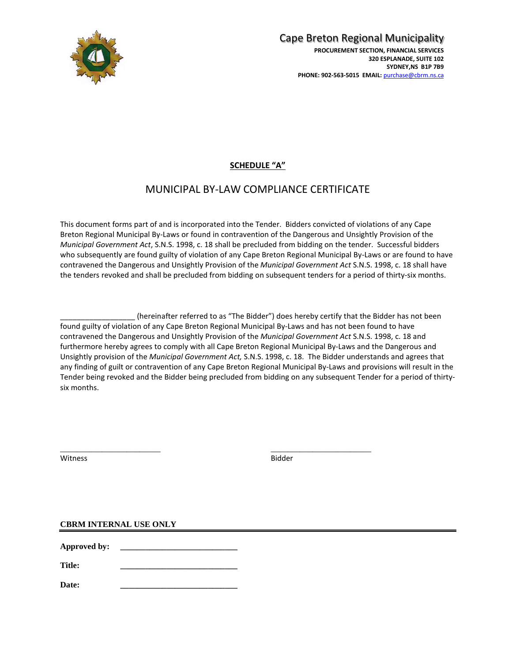

## **SCHEDULE "A"**

## MUNICIPAL BY-LAW COMPLIANCE CERTIFICATE

This document forms part of and is incorporated into the Tender. Bidders convicted of violations of any Cape Breton Regional Municipal By-Laws or found in contravention of the Dangerous and Unsightly Provision of the *Municipal Government Act*, S.N.S. 1998, c. 18 shall be precluded from bidding on the tender. Successful bidders who subsequently are found guilty of violation of any Cape Breton Regional Municipal By-Laws or are found to have contravened the Dangerous and Unsightly Provision of the *Municipal Government Act* S.N.S. 1998, c. 18 shall have the tenders revoked and shall be precluded from bidding on subsequent tenders for a period of thirty-six months.

\_\_\_\_\_\_\_\_\_\_\_\_\_\_\_\_\_\_ (hereinafter referred to as "The Bidder") does hereby certify that the Bidder has not been found guilty of violation of any Cape Breton Regional Municipal By-Laws and has not been found to have contravened the Dangerous and Unsightly Provision of the *Municipal Government Act* S.N.S. 1998, c. 18 and furthermore hereby agrees to comply with all Cape Breton Regional Municipal By-Laws and the Dangerous and Unsightly provision of the *Municipal Government Act,* S.N.S. 1998, c. 18. The Bidder understands and agrees that any finding of guilt or contravention of any Cape Breton Regional Municipal By-Laws and provisions will result in the Tender being revoked and the Bidder being precluded from bidding on any subsequent Tender for a period of thirtysix months.

Witness **Bidder Bidder** 

\_\_\_\_\_\_\_\_\_\_\_\_\_\_\_\_\_\_\_\_\_\_\_\_ \_\_\_\_\_\_\_\_\_\_\_\_\_\_\_\_\_\_\_\_\_\_\_\_

#### **CBRM INTERNAL USE ONLY**

**Approved by: \_\_\_\_\_\_\_\_\_\_\_\_\_\_\_\_\_\_\_\_\_\_\_\_\_\_\_\_**

**Title: \_\_\_\_\_\_\_\_\_\_\_\_\_\_\_\_\_\_\_\_\_\_\_\_\_\_\_\_**

**Date: \_\_\_\_\_\_\_\_\_\_\_\_\_\_\_\_\_\_\_\_\_\_\_\_\_\_\_\_**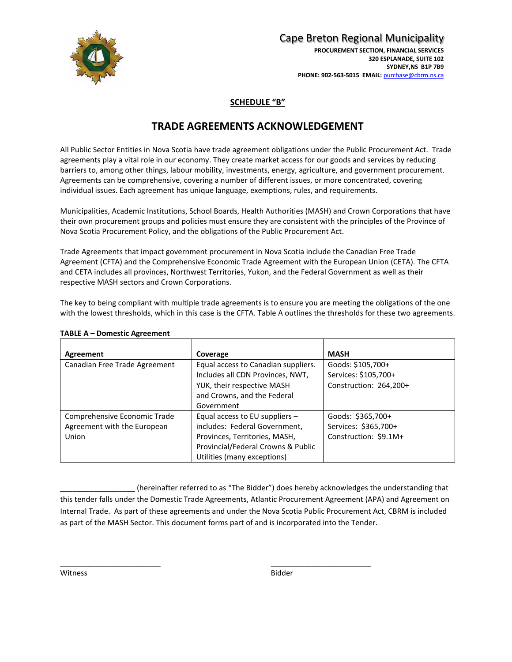

## Cape Breton Regional Municipality

**PROCUREMENT SECTION, FINANCIAL SERVICES 320 ESPLANADE, SUITE 102 SYDNEY,NS B1P 7B9 PHONE: 902-563-5015 EMAIL:** [purchase@cbrm.ns.ca](mailto:purchase@cbrm.ns.ca)

#### **SCHEDULE "B"**

## **TRADE AGREEMENTS ACKNOWLEDGEMENT**

All Public Sector Entities in Nova Scotia have trade agreement obligations under the Public Procurement Act. Trade agreements play a vital role in our economy. They create market access for our goods and services by reducing barriers to, among other things, labour mobility, investments, energy, agriculture, and government procurement. Agreements can be comprehensive, covering a number of different issues, or more concentrated, covering individual issues. Each agreement has unique language, exemptions, rules, and requirements.

Municipalities, Academic Institutions, School Boards, Health Authorities (MASH) and Crown Corporations that have their own procurement groups and policies must ensure they are consistent with the principles of the Province of Nova Scotia Procurement Policy, and the obligations of the Public Procurement Act.

Trade Agreements that impact government procurement in Nova Scotia include the Canadian Free Trade Agreement (CFTA) and the Comprehensive Economic Trade Agreement with the European Union (CETA). The CFTA and CETA includes all provinces, Northwest Territories, Yukon, and the Federal Government as well as their respective MASH sectors and Crown Corporations.

The key to being compliant with multiple trade agreements is to ensure you are meeting the obligations of the one with the lowest thresholds, which in this case is the CFTA. Table A outlines the thresholds for these two agreements.

| Agreement                                                            | Coverage                                                                                                                                                                | <b>MASH</b>                                                        |
|----------------------------------------------------------------------|-------------------------------------------------------------------------------------------------------------------------------------------------------------------------|--------------------------------------------------------------------|
| Canadian Free Trade Agreement                                        | Equal access to Canadian suppliers.<br>Includes all CDN Provinces, NWT,                                                                                                 | Goods: \$105,700+<br>Services: \$105,700+                          |
|                                                                      | YUK, their respective MASH<br>and Crowns, and the Federal                                                                                                               | Construction: 264,200+                                             |
|                                                                      | Government                                                                                                                                                              |                                                                    |
| Comprehensive Economic Trade<br>Agreement with the European<br>Union | Equal access to EU suppliers $-$<br>includes: Federal Government,<br>Provinces, Territories, MASH,<br>Provincial/Federal Crowns & Public<br>Utilities (many exceptions) | Goods: \$365,700+<br>Services: \$365,700+<br>Construction: \$9.1M+ |

#### **TABLE A – Domestic Agreement**

\_\_\_\_\_\_\_\_\_\_\_\_\_\_\_\_\_\_ (hereinafter referred to as "The Bidder") does hereby acknowledges the understanding that this tender falls under the Domestic Trade Agreements, Atlantic Procurement Agreement (APA) and Agreement on Internal Trade. As part of these agreements and under the Nova Scotia Public Procurement Act, CBRM is included as part of the MASH Sector. This document forms part of and is incorporated into the Tender.

\_\_\_\_\_\_\_\_\_\_\_\_\_\_\_\_\_\_\_\_\_\_\_\_ \_\_\_\_\_\_\_\_\_\_\_\_\_\_\_\_\_\_\_\_\_\_\_\_

Witness **Bidder Bidder**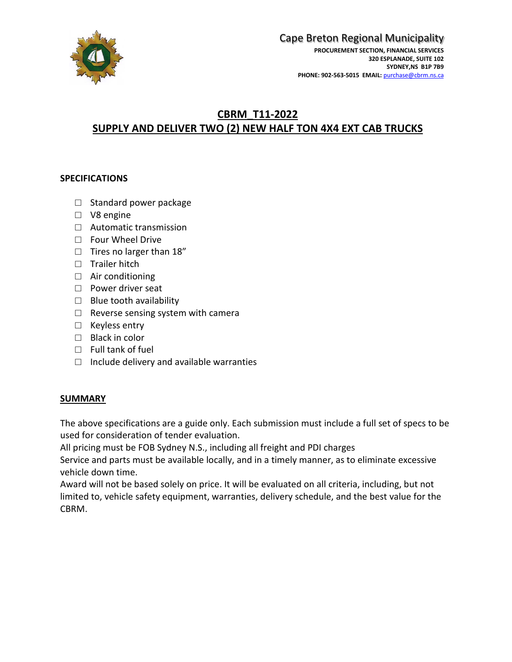

#### Cape Breton Regional Municipality **PROCUREMENT SECTION, FINANCIAL SERVICES 320 ESPLANADE, SUITE 102 SYDNEY,NS B1P 7B9 PHONE: 902-563-5015 EMAIL:** [purchase@cbrm.ns.ca](mailto:purchase@cbrm.ns.ca)

## **CBRM\_T11-2022 SUPPLY AND DELIVER TWO (2) NEW HALF TON 4X4 EXT CAB TRUCKS**

### **SPECIFICATIONS**

- □ Standard power package
- □ V8 engine
- □ Automatic transmission
- □ Four Wheel Drive
- □ Tires no larger than 18"
- □ Trailer hitch
- □ Air conditioning
- □ Power driver seat
- $\Box$  Blue tooth availability
- $\Box$  Reverse sensing system with camera
- □ Keyless entry
- $\Box$  Black in color
- □ Full tank of fuel
- $\Box$  Include delivery and available warranties

#### **SUMMARY**

The above specifications are a guide only. Each submission must include a full set of specs to be used for consideration of tender evaluation.

All pricing must be FOB Sydney N.S., including all freight and PDI charges

Service and parts must be available locally, and in a timely manner, as to eliminate excessive vehicle down time.

Award will not be based solely on price. It will be evaluated on all criteria, including, but not limited to, vehicle safety equipment, warranties, delivery schedule, and the best value for the CBRM.